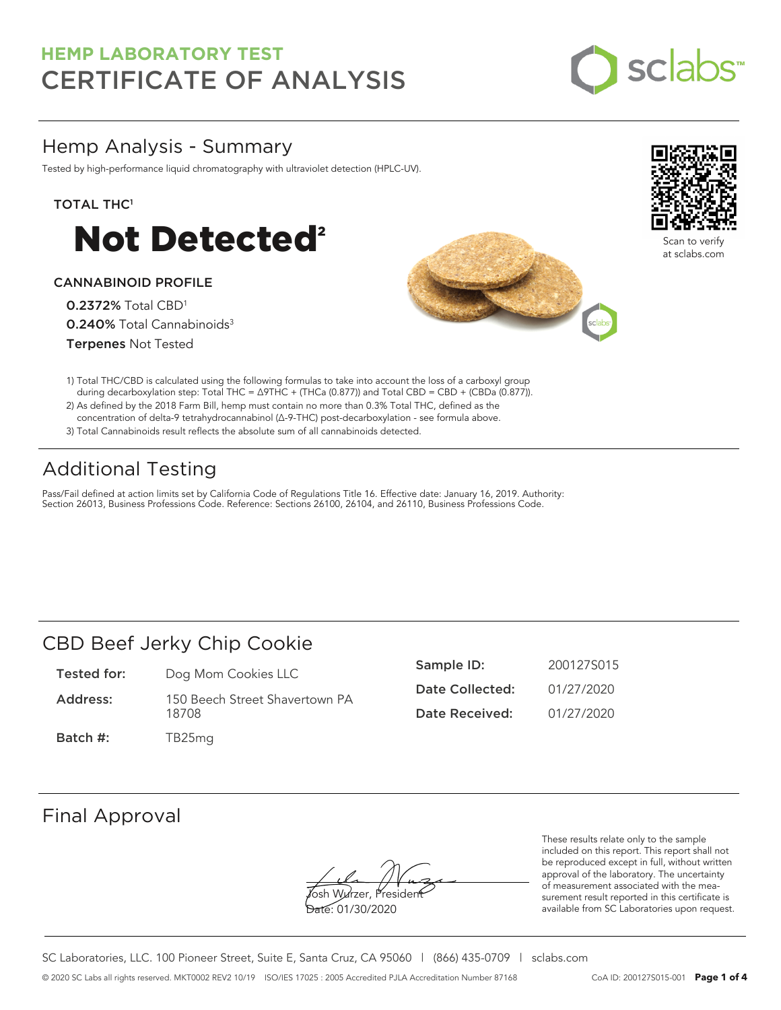

## Hemp Analysis - Summary

Tested by high-performance liquid chromatography with ultraviolet detection (HPLC-UV).

#### TOTAL THC<sup>1</sup>



#### CANNABINOID PROFILE

0.2372% Total CBD<sup>1</sup> 0.240% Total Cannabinoids<sup>3</sup> Terpenes Not Tested





Scan to verify at sclabs.com

- 1) Total THC/CBD is calculated using the following formulas to take into account the loss of a carboxyl group during decarboxylation step: Total THC = ∆9THC + (THCa (0.877)) and Total CBD = CBD + (CBDa (0.877)).
- 2) As defined by the 2018 Farm Bill, hemp must contain no more than 0.3% Total THC, defined as the concentration of delta-9 tetrahydrocannabinol (Δ-9-THC) post-decarboxylation - see formula above.
- 3) Total Cannabinoids result reflects the absolute sum of all cannabinoids detected.

## Additional Testing

Pass/Fail defined at action limits set by California Code of Regulations Title 16. Effective date: January 16, 2019. Authority: Section 26013, Business Professions Code. Reference: Sections 26100, 26104, and 26110, Business Professions Code.

### CBD Beef Jerky Chip Cookie

- Tested for: Dog Mom Cookies LLC
- Address: 150 Beech Street Shavertown PA 18708
- Sample ID: 200127S015 Date Collected: 01/27/2020 Date Received: 01/27/2020

### Batch #: TB25mg

### Final Approval

**J**osh Wurzer, Presiden<del>t</del>

Date: 01/30/2020

These results relate only to the sample included on this report. This report shall not be reproduced except in full, without written approval of the laboratory. The uncertainty of measurement associated with the measurement result reported in this certificate is available from SC Laboratories upon request.

SC Laboratories, LLC. 100 Pioneer Street, Suite E, Santa Cruz, CA 95060 | (866) 435-0709 | sclabs.com © 2020 SC Labs all rights reserved. MKT0002 REV2 10/19 ISO/IES 17025 : 2005 Accredited PJLA Accreditation Number 87168 CoA ID: 200127S015-001 **Page 1 of 4**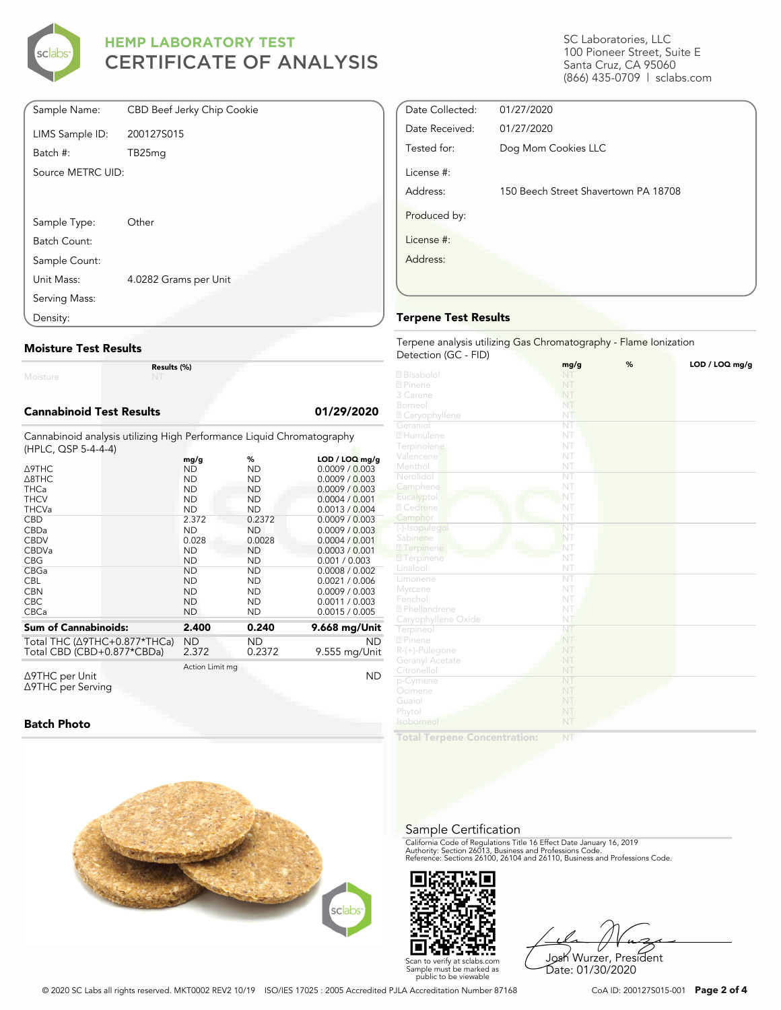

| Sample Name:      | CBD Beef Jerky Chip Cookie |
|-------------------|----------------------------|
| LIMS Sample ID:   | 200127S015                 |
| Batch #:          | TB25mg                     |
| Source METRC UID: |                            |
|                   |                            |
| Sample Type:      | Other                      |
| Batch Count:      |                            |
| Sample Count:     |                            |
|                   |                            |
| Unit Mass:        | 4.0282 Grams per Unit      |
| Serving Mass:     |                            |
| Density:          |                            |

#### **Moisture Test Results**

Moisture

**Results (%)**

#### **Cannabinoid Test Results 01/29/2020**

Cannabinoid analysis utilizing High Performance Liquid Chromatography (HPLC, QSP 5-4-4-4)

|                                          | mg/g            | %         | $LOD / LOQ$ mg/g |
|------------------------------------------|-----------------|-----------|------------------|
| Δ9THC                                    | ND              | <b>ND</b> | 0.0009 / 0.003   |
| A8THC                                    | <b>ND</b>       | <b>ND</b> | 0.0009 / 0.003   |
| <b>THCa</b>                              | <b>ND</b>       | ND.       | 0.0009 / 0.003   |
| <b>THCV</b>                              | ND              | ND        | 0.0004 / 0.001   |
| <b>THCVa</b>                             | <b>ND</b>       | <b>ND</b> | 0.0013 / 0.004   |
| <b>CBD</b>                               | 2.372           | 0.2372    | 0.0009 / 0.003   |
| CBDa                                     | <b>ND</b>       | <b>ND</b> | 0.0009 / 0.003   |
| <b>CBDV</b>                              | 0.028           | 0.0028    | 0.0004 / 0.001   |
| <b>CBDVa</b>                             | <b>ND</b>       | <b>ND</b> | 0.0003 / 0.001   |
| <b>CBG</b>                               | ND              | ND        | 0.001 / 0.003    |
| CBGa                                     | <b>ND</b>       | ND        | 0.0008 / 0.002   |
| <b>CBL</b>                               | <b>ND</b>       | ND        | 0.0021 / 0.006   |
| <b>CBN</b>                               | <b>ND</b>       | ND        | 0.0009 / 0.003   |
| <b>CBC</b>                               | <b>ND</b>       | ND        | 0.0011 / 0.003   |
| CBCa                                     | <b>ND</b>       | ND        | 0.0015 / 0.005   |
| <b>Sum of Cannabinoids:</b>              | 2.400           | 0.240     | 9.668 mg/Unit    |
|                                          |                 |           |                  |
| Total THC ( $\triangle$ 9THC+0.877*THCa) | <b>ND</b>       | ND        | <b>ND</b>        |
| Total CBD (CBD+0.877*CBDa)               | 2.372           | 0.2372    | 9.555 mg/Unit    |
|                                          | Action Limit mg |           |                  |
| Δ9THC per Unit                           |                 |           | ND               |

Δ9THC per Unit Δ9THC per Serving

#### **Batch Photo**



SC Laboratories, LLC 100 Pioneer Street, Suite E Santa Cruz, CA 95060 (866) 435-0709 | sclabs.com

| Date Collected: | 01/27/2020                           |
|-----------------|--------------------------------------|
| Date Received:  | 01/27/2020                           |
| Tested for:     | Dog Mom Cookies LLC                  |
| License #:      |                                      |
| Address:        | 150 Beech Street Shavertown PA 18708 |
| Produced by:    |                                      |
| License #:      |                                      |
| Address:        |                                      |
|                 |                                      |
|                 |                                      |

#### **Terpene Test Results**

Terpene analysis utilizing Gas Chromatography - Flame Ionization Detection (GC - FID)

|                            | mg/g                   | % | LOD / LOQ mg/g |
|----------------------------|------------------------|---|----------------|
| 2 Bisabolol                | NT                     |   |                |
| 2 Pinene                   | NT                     |   |                |
| 3 Carene                   | NT                     |   |                |
| Borneol                    | NT                     |   |                |
| <sup>2</sup> Caryophyllene | NT                     |   |                |
| Geraniol                   | NT                     |   |                |
| 2 Humulene                 | NT                     |   |                |
| Terpinolene                | NT                     |   |                |
| Valencene                  | NT                     |   |                |
| Menthol                    | NT                     |   |                |
| Nerolidol                  | $\overline{\text{NT}}$ |   |                |
| Camphene                   | NT                     |   |                |
| Eucalyptol                 | NT                     |   |                |
| 2 Cedrene                  | NT                     |   |                |
| Camphor                    | NT                     |   |                |
| (-)-Isopulegol             | NT                     |   |                |
| Sabinene                   | NT                     |   |                |
| 2 Terpinene                | NT                     |   |                |
| <b>7</b> Terpinene         | NT                     |   |                |
| Linalool                   | NT                     |   |                |
| Limonene                   | $\overline{\text{NT}}$ |   |                |
| Myrcene                    | NT                     |   |                |
| Fenchol                    | NT                     |   |                |
| <sup>2</sup> Phellandrene  | NT                     |   |                |
| Caryophyllene Oxide        | NT                     |   |                |
| Terpineol                  | NT                     |   |                |
| 2 Pinene                   | NT                     |   |                |
| R-(+)-Pulegone             | NT                     |   |                |
| Geranyl Acetate            | NT                     |   |                |
| Citronellol                | NT                     |   |                |
| p-Cymene                   | NT                     |   |                |
| Ocimene                    | NT                     |   |                |
| Guaiol                     | NT                     |   |                |
| Phytol                     | NT                     |   |                |
| Isoborneol                 | NT                     |   |                |
|                            |                        |   |                |

**Total Terpene Concentration:**

#### Sample Certification

California Code of Regulations Title 16 Effect Date January 16, 2019<br>Authority: Section 26013, Business and Professions Code.<br>Reference: Sections 26100, 26104 and 26110, Business and Professions Code.



Josh Wurzer, President Date: 01/30/2020

© 2020 SC Labs all rights reserved. MKT0002 REV2 10/19 ISO/IES 17025 : 2005 Accredited PJLA Accreditation Number 87168 CoA ID: 200127S015-001 **Page 2 of 4**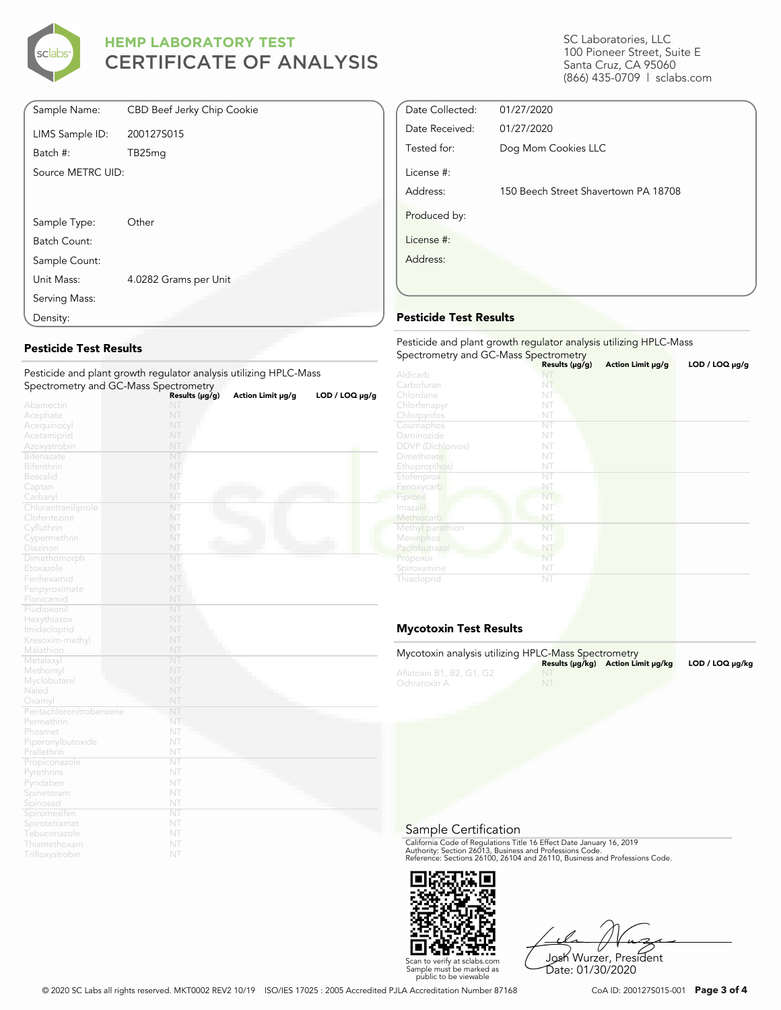

| Sample Name:      | CBD Beef Jerky Chip Cookie |
|-------------------|----------------------------|
| LIMS Sample ID:   | 200127S015                 |
| Batch #:          | TB25mq                     |
| Source METRC UID: |                            |
|                   |                            |
| Sample Type:      | Other                      |
| Batch Count:      |                            |
| Sample Count:     |                            |
| Unit Mass:        | 4.0282 Grams per Unit      |
| Serving Mass:     |                            |
| Density:          |                            |

#### **Pesticide Test Results**

Pesticide and plant growth regulator analysis utilizing HPLC-Mass Spectrometry and GC-Mass Spectrometry

|                         | Results (µg/g) | Action Limit µg/g | LOD / LOO µg/g |
|-------------------------|----------------|-------------------|----------------|
| Abamectin               | NT             |                   |                |
| Acephate                | NT             |                   |                |
| Acequinocyl             | NT             |                   |                |
| Acetamiprid             | NT             |                   |                |
| Azoxystrobin            | NT             |                   |                |
| <b>Bifenazate</b>       | NT             |                   |                |
| Bifenthrin              | NT             |                   |                |
| <b>Boscalid</b>         | NT             |                   |                |
| Captan                  | NT             |                   |                |
| Carbaryl                | NT             |                   |                |
| Chlorantraniliprole     | NT             |                   |                |
| Clofentezine            | NT             |                   |                |
| Cyfluthrin              | NT             |                   |                |
| Cypermethrin            | NT             |                   |                |
| Diazinon                | NT             |                   |                |
| Dimethomorph            | NT             |                   |                |
| Etoxazole               | NT             |                   |                |
| Fenhexamid              | NT             |                   |                |
| Fenpyroximate           | NT             |                   |                |
| Flonicamid              | NT             |                   |                |
| Fludioxonil             | NT             |                   |                |
| Hexythiazox             | NT             |                   |                |
| Imidacloprid            | NT             |                   |                |
| Kresoxim-methyl         | NT             |                   |                |
| Malathion               | NT             |                   |                |
| Metalaxyl               | NT             |                   |                |
| Methomyl                | NT             |                   |                |
| Myclobutanil            | NT             |                   |                |
| Naled                   | NT             |                   |                |
| Oxamyl                  | NT             |                   |                |
| Pentachloronitrobenzene | NT             |                   |                |
| Permethrin              | NT.            |                   |                |
| Phosmet                 | NT             |                   |                |
| Piperonylbutoxide       | NT             |                   |                |
| Prallethrin             | NT             |                   |                |
| Propiconazole           | NT             |                   |                |
| Pyrethrins              | NT             |                   |                |
| Pyridaben               | NT             |                   |                |
| Spinetoram              | NT             |                   |                |
| Spinosad                | NT             |                   |                |
| Spiromesifen            | NT             |                   |                |
| Spirotetramat           | NT             |                   |                |
| Tebuconazole            | NT             |                   |                |
| Thiamethoxam            | NT             |                   |                |
| Trifloxystrobin         | NT             |                   |                |
|                         |                |                   |                |

SC Laboratories, LLC 100 Pioneer Street, Suite E Santa Cruz, CA 95060 (866) 435-0709 | sclabs.com

| Date Collected: | 01/27/2020                           |  |
|-----------------|--------------------------------------|--|
| Date Received:  | 01/27/2020                           |  |
| Tested for:     | Dog Mom Cookies LLC                  |  |
| License #:      |                                      |  |
| Address:        | 150 Beech Street Shavertown PA 18708 |  |
| Produced by:    |                                      |  |
| License #:      |                                      |  |
| Address:        |                                      |  |
|                 |                                      |  |
|                 |                                      |  |

#### **Pesticide Test Results**

| Pesticide and plant growth regulator analysis utilizing HPLC-Mass<br>Spectrometry and GC-Mass Spectrometry |                |                   |                     |  |  |
|------------------------------------------------------------------------------------------------------------|----------------|-------------------|---------------------|--|--|
|                                                                                                            | Results (µg/g) | Action Limit µg/g | $LOD / LOQ \mu g/g$ |  |  |
| Aldicarb                                                                                                   | NT             |                   |                     |  |  |
| Carbofuran                                                                                                 | NT             |                   |                     |  |  |
| Chlordane                                                                                                  | NT             |                   |                     |  |  |
| Chlorfenapyr                                                                                               | NT             |                   |                     |  |  |
| Chlorpyrifos                                                                                               | NT             |                   |                     |  |  |
| Coumaphos                                                                                                  | NT             |                   |                     |  |  |
| Daminozide                                                                                                 | NT             |                   |                     |  |  |
| <b>DDVP</b> (Dichlorvos)                                                                                   | NT             |                   |                     |  |  |
| Dimethoate                                                                                                 | NT             |                   |                     |  |  |
| Ethoprop(hos)                                                                                              | NT             |                   |                     |  |  |
| Etofenprox                                                                                                 | NT             |                   |                     |  |  |
| Fenoxycarb                                                                                                 | NT             |                   |                     |  |  |
| Fipronil                                                                                                   | NT             |                   |                     |  |  |
| Imazalil                                                                                                   | NT             |                   |                     |  |  |
| Methiocarb                                                                                                 | NT             |                   |                     |  |  |
| Methyl parathion                                                                                           | NT             |                   |                     |  |  |
| Mevinphos                                                                                                  | NT             |                   |                     |  |  |
| Paclobutrazol                                                                                              | NT             |                   |                     |  |  |
| Propoxur                                                                                                   | NT             |                   |                     |  |  |
| Spiroxamine                                                                                                | NT             |                   |                     |  |  |
| Thiacloprid                                                                                                | NT             |                   |                     |  |  |

#### **Mycotoxin Test Results**

| Mycotoxin analysis utilizing HPLC-Mass Spectrometry |    | Results (µq/kq) Action Limit µq/kq | $LOD / LOQ \mu q/kg$ |
|-----------------------------------------------------|----|------------------------------------|----------------------|
| Aflatoxin B1, B2, G1, G2<br>Ochratoxin A            | NT |                                    |                      |

Sample Certification

California Code of Regulations Title 16 Effect Date January 16, 2019<br>Authority: Section 26013, Business and Professions Code.<br>Reference: Sections 26100, 26104 and 26110, Business and Professions Code.



Josh Wurzer, President Date: 01/30/2020

© 2020 SC Labs all rights reserved. MKT0002 REV2 10/19 ISO/IES 17025 : 2005 Accredited PJLA Accreditation Number 87168 CoA ID: 200127S015-001 **Page 3 of 4**